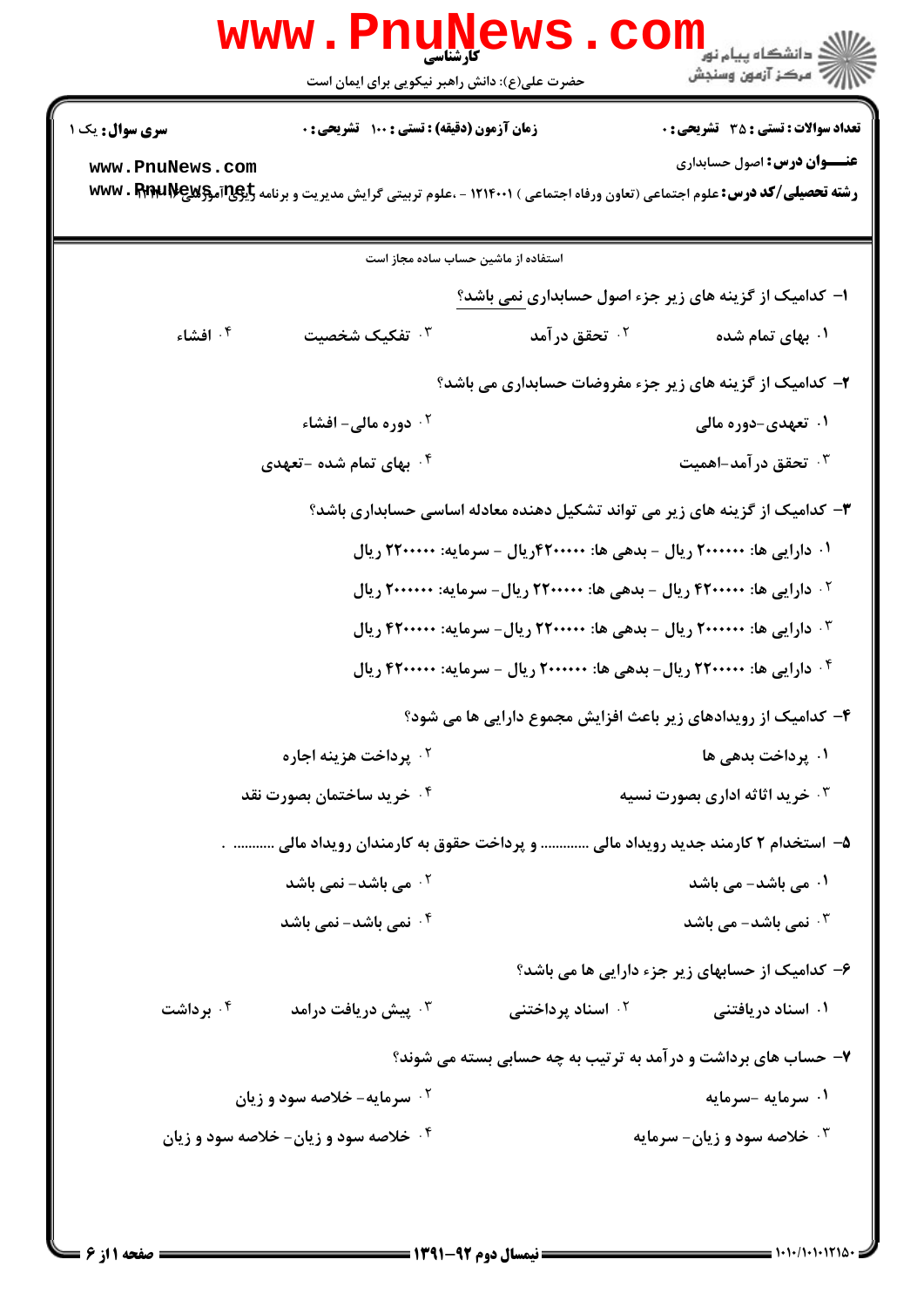|                                                                             | <b>www.Pnunew</b><br>حضرت علی(ع): دانش راهبر نیکویی برای ایمان است       |                                                                          | الا<br>الا دانشگاه پيام نور<br>الا مرکز آزمون وسنجش                                                                                                                           |  |  |
|-----------------------------------------------------------------------------|--------------------------------------------------------------------------|--------------------------------------------------------------------------|-------------------------------------------------------------------------------------------------------------------------------------------------------------------------------|--|--|
| <b>سری سوال :</b> یک ۱                                                      | <b>زمان آزمون (دقیقه) : تستی : 100 تشریحی : 0</b>                        |                                                                          | <b>تعداد سوالات : تستي : 35 ٪ تشريحي : 0</b>                                                                                                                                  |  |  |
| www.PnuNews.com                                                             |                                                                          |                                                                          | <b>عنـــوان درس:</b> اصول حسابداری<br><b>رشته تحصیلی/کد درس:</b> علوم اجتماعی (تعاون ورفاه اجتماعی ) ۱۲۱۴۰۰۱ - ،علوم تربیتی گرایش مدیریت و برنامه <b>WWW . FERELIVE و WWW</b> |  |  |
|                                                                             | استفاده از ماشین حساب ساده مجاز است                                      |                                                                          |                                                                                                                                                                               |  |  |
|                                                                             |                                                                          |                                                                          | ا- کدامیک از گزینه های زیر جزء اصول حسابداری نمی باشد؟                                                                                                                        |  |  |
| ۰۴ افشاء                                                                    | تفکیک شخصیت $\cdot^{\mathtt{w}}$                                         | ۰ <sup>۲</sup> تحقق در آمد                                               | ۰۱ بهای تمام شده                                                                                                                                                              |  |  |
|                                                                             |                                                                          |                                                                          | ۲- کدامیک از گزینه های زیر جزء مفروضات حسابداری می باشد؟                                                                                                                      |  |  |
|                                                                             | <b>10 دوره مالی- افشاء 1</b>                                             |                                                                          | ۰۱ تعهدی-دوره مالی                                                                                                                                                            |  |  |
|                                                                             | ۰ <sup>۴</sup> بهای تمام شده –تعهدی                                      |                                                                          | ۰ <sup>۳ .</sup> تحقق در آمد-اهمیت                                                                                                                                            |  |  |
| ۳- کدامیک از گزینه های زیر می تواند تشکیل دهنده معادله اساسی حسابداری باشد؟ |                                                                          |                                                                          |                                                                                                                                                                               |  |  |
|                                                                             |                                                                          | ۰۱ دارایی ها: ۲۰۰۰۰۰۰ ریال – بدهی ها: ۴۲۰۰۰۰۰ریال – سرمایه: ۲۲۰۰۰۰۰ ریال |                                                                                                                                                                               |  |  |
|                                                                             |                                                                          |                                                                          | <sup>۲.</sup> دارایی ها: ۴۲۰۰۰۰۰ ریال – بدهی ها: ۲۲۰۰۰۰۰ ریال- سرمایه: ۲۰۰۰۰۰۰ ریال                                                                                           |  |  |
|                                                                             |                                                                          |                                                                          | ۰۳ دارایی ها: ۲۰۰۰۰۰۰ ریال – بدهی ها: ۲۲۰۰۰۰۰ ریال- سرمایه: ۴۲۰۰۰۰۰ ریال                                                                                                      |  |  |
|                                                                             | ۰۴ دارایی ها: ۲۲۰۰۰۰۰ ریال- بدهی ها: ۲۰۰۰۰۰۰ ریال - سرمایه: ۴۲۰۰۰۰۰ ریال |                                                                          |                                                                                                                                                                               |  |  |
|                                                                             |                                                                          |                                                                          | ۴- کدامیک از رویدادهای زیر باعث افزایش مجموع دارایی ها می شود؟                                                                                                                |  |  |
|                                                                             | ۰۲ پرداخت هزینه اجاره                                                    |                                                                          | ۰۱ پرداخت بدهی ها                                                                                                                                                             |  |  |
|                                                                             | ۰۴ خرید ساختمان بصورت نقد                                                |                                                                          | <b>۳ خرید اثاثه اداری بصورت نسیه</b>                                                                                                                                          |  |  |
|                                                                             |                                                                          |                                                                          | ۵– استخدام ۲ کارمند جدید رویداد مالی  و پرداخت حقوق به کارمندان رویداد مالی  .                                                                                                |  |  |
|                                                                             | ۰ <sup>۲</sup> می باشد- نمی باشد                                         |                                                                          | ۰۱ می باشد- می باشد                                                                                                                                                           |  |  |
|                                                                             | ۰ <sup>۴</sup> نمی باشد- نمی باشد                                        |                                                                          | نمی باشد- می باشد $\cdot$ ۳                                                                                                                                                   |  |  |
|                                                                             |                                                                          |                                                                          | ۶– کدامیک از حسابهای زیر جزء دارایی ها می باشد؟                                                                                                                               |  |  |
| ۰۴ برداشت                                                                   | بیش دریافت درامد $\cdot^{\mathsf{y}}$                                    | ۰ <sup>۲</sup> اسناد پرداختنی                                            | ۰۱ اسناد دریافتنی                                                                                                                                                             |  |  |
|                                                                             |                                                                          |                                                                          | ۷- حساب های برداشت و در آمد به ترتیب به چه حسابی بسته می شوند؟                                                                                                                |  |  |
|                                                                             | ۰ <sup>۲</sup> سرمایه- خلاصه سود و زیان                                  |                                                                          | ۰۱ سرمایه -سرمایه                                                                                                                                                             |  |  |
|                                                                             | ۰۴ خلاصه سود و زیان- خلاصه سود و زیان                                    |                                                                          | ۰۳ خلاصه سود و زیان- سرمایه                                                                                                                                                   |  |  |
|                                                                             |                                                                          |                                                                          |                                                                                                                                                                               |  |  |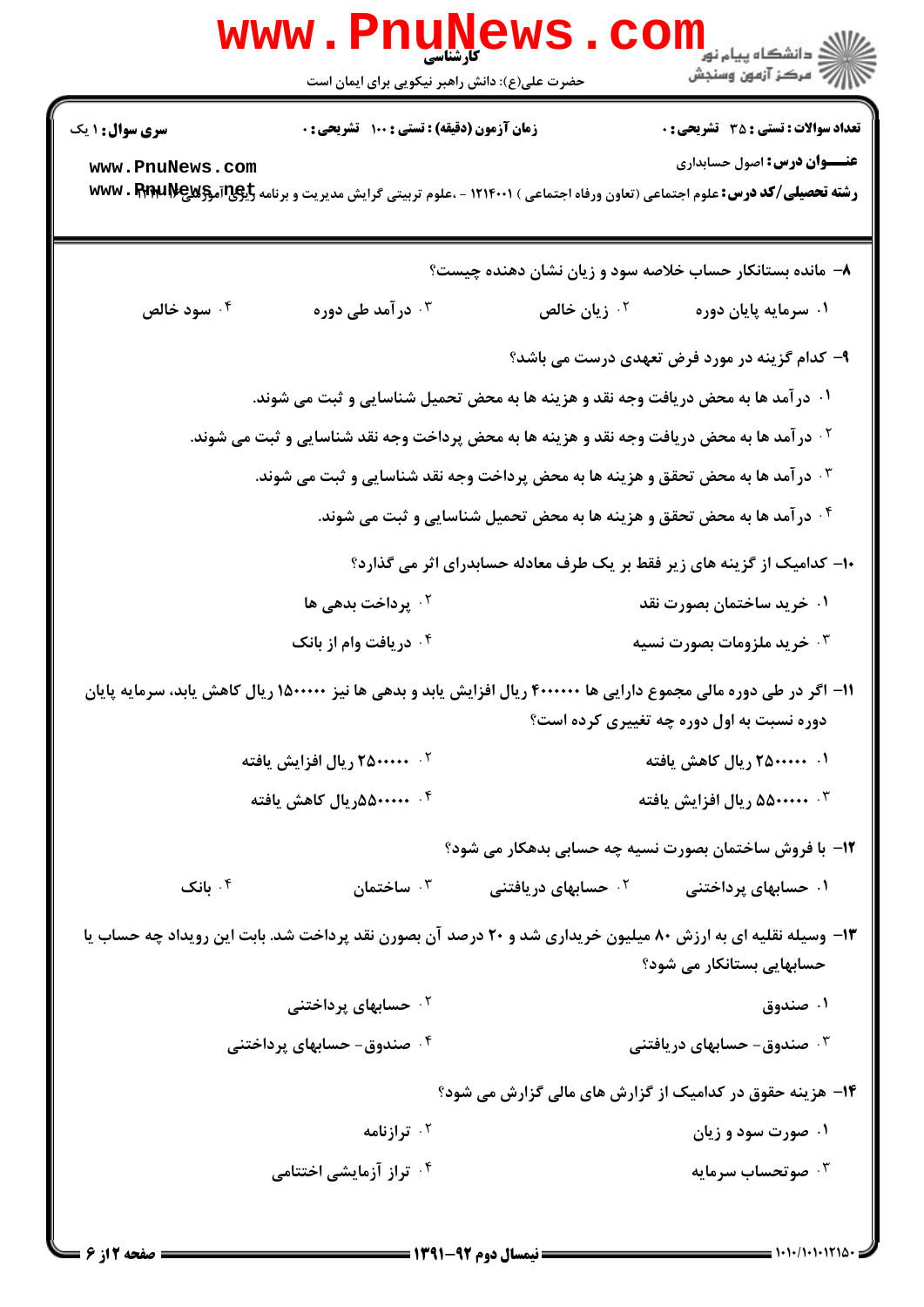|                                                                                                                     | www.Pnune<br>حضرت علی(ع): دانش راهبر نیکویی برای ایمان است                                             |                                                                         | الان دانشگاه پيام نور<br>۱۳۸۰ مرکز آزمون وسنجش                                                                                                                                       |
|---------------------------------------------------------------------------------------------------------------------|--------------------------------------------------------------------------------------------------------|-------------------------------------------------------------------------|--------------------------------------------------------------------------------------------------------------------------------------------------------------------------------------|
| <b>سری سوال : ۱ یک</b>                                                                                              | زمان آزمون (دقیقه) : تستی : ۱۰۰٪ تشریحی : ۰                                                            |                                                                         | <b>تعداد سوالات : تستی : 35 ٪ تشریحی : 0</b>                                                                                                                                         |
| www.PnuNews.com                                                                                                     |                                                                                                        |                                                                         | <b>عنـــوان درس:</b> اصول حسابداری<br><b>رشته تحصیلی/کد درس:</b> علوم اجتماعی (تعاون ورفاه اجتماعی ) ۱۲۱۴۰۰۱ - ،علوم تربیتی گرایش مدیریت و برنامه <mark>WWW . PpppLIV</mark> e و WWW |
|                                                                                                                     |                                                                                                        |                                                                         | ۸– مانده بستانکار حساب خلاصه سود و زیان نشان دهنده چیست؟                                                                                                                             |
| ۰۴ سود خالص                                                                                                         | ۰۳ در آمد طی دوره                                                                                      | ۰ <sup>۲</sup> زیان خالص                                                | ۰۱ سرمایه پایان دوره                                                                                                                                                                 |
|                                                                                                                     |                                                                                                        |                                                                         | ۹– کدام گزینه در مورد فرض تعهدی درست می باشد؟                                                                                                                                        |
|                                                                                                                     | ۰۱ در آمد ها به محض دریافت وجه نقد و هزینه ها به محض تحمیل شناسایی و ثبت می شوند.                      |                                                                         |                                                                                                                                                                                      |
|                                                                                                                     | <sup>۲ .</sup> در آمد ها به محض دریافت وجه نقد و هزینه ها به محض پرداخت وجه نقد شناسایی و ثبت می شوند. |                                                                         |                                                                                                                                                                                      |
|                                                                                                                     | درآمد ها به محض تحقق و هزینه ها به محض پرداخت وجه نقد شناسایی و ثبت می شوند. $\cdot$                   |                                                                         |                                                                                                                                                                                      |
|                                                                                                                     |                                                                                                        | ۰۴ در آمد ها به محض تحقق و هزینه ها به محض تحمیل شناسایی و ثبت می شوند. |                                                                                                                                                                                      |
|                                                                                                                     |                                                                                                        |                                                                         | <b>۱۰</b> - کدامیک از گزینه های زیر فقط بر یک طرف معادله حسابدرای اثر می گذارد؟                                                                                                      |
|                                                                                                                     | <sup>۲</sup> ۰ پرداخت بدهی ها                                                                          |                                                                         | ۰۱ خرید ساختمان بصورت نقد                                                                                                                                                            |
|                                                                                                                     | ۰۴ دریافت وام از بانک                                                                                  |                                                                         | ۰۳ خرید ملزومات بصورت نسیه                                                                                                                                                           |
| ۱۱– اگر در طی دوره مالی مجموع دارایی ها ۴۰۰۰۰۰۰ ریال افزایش یابد و بدهی ها نیز ۱۵۰۰۰۰۰ ریال کاهش یابد، سرمایه پایان |                                                                                                        |                                                                         |                                                                                                                                                                                      |
|                                                                                                                     |                                                                                                        |                                                                         | دوره نسبت به اول دوره چه تغییری کرده است؟                                                                                                                                            |
|                                                                                                                     | <sup>۲</sup> ۰ ۲۵۰۰۰۰۰ ریال افزایش یافته                                                               |                                                                         | ۰۱ ۲۵۰۰۰۰۰۰ ریال کاهش یافته                                                                                                                                                          |
|                                                                                                                     | ۰۴ مینه ۵۵۰۰۰۰۰ رال کاهش یافته                                                                         |                                                                         | ۰۳ محمده۱۰ ریال افزایش یافته                                                                                                                                                         |
|                                                                                                                     |                                                                                                        |                                                                         | ۱۲- با فروش ساختمان بصورت نسیه چه حسابی بدهکار می شود؟                                                                                                                               |
| بانک $\cdot$ ۴                                                                                                      | ساختمان $\cdot$ "                                                                                      | <sup>۲</sup> ۰ حسابهای دریافتنی                                         | ۰۱ حسابهای پرداختنی                                                                                                                                                                  |
|                                                                                                                     |                                                                                                        |                                                                         | ۱۳- وسیله نقلیه ای به ارزش ۸۰ میلیون خریداری شد و ۲۰ درصد آن بصورن نقد پرداخت شد. بابت این رویداد چه حساب یا<br>حسابهایی بستانکار می شود؟                                            |
|                                                                                                                     | <sup>۲ .</sup> حسابهای پرداختنی                                                                        |                                                                         | ۰۱ صندوق                                                                                                                                                                             |
|                                                                                                                     | ۰۴ صندوق- حسابهای پرداختنی                                                                             |                                                                         | ۰ <sup>۳</sup> صندوق- حسابهای دریافتنی                                                                                                                                               |
|                                                                                                                     |                                                                                                        |                                                                         | ۱۴- هزینه حقوق در کدامیک از گزارش های مالی گزارش می شود؟                                                                                                                             |
|                                                                                                                     | ۰ <sup>۲</sup> ترازنامه                                                                                |                                                                         | ۰۱ صورت سود و زیان                                                                                                                                                                   |
|                                                                                                                     | ۰۴ تراز آزمایشی اختتامی                                                                                |                                                                         | صوتحساب سرمايه $\cdot^{\mathsf{y}}$                                                                                                                                                  |
|                                                                                                                     |                                                                                                        |                                                                         |                                                                                                                                                                                      |

 $= 1.1 - 11.1110$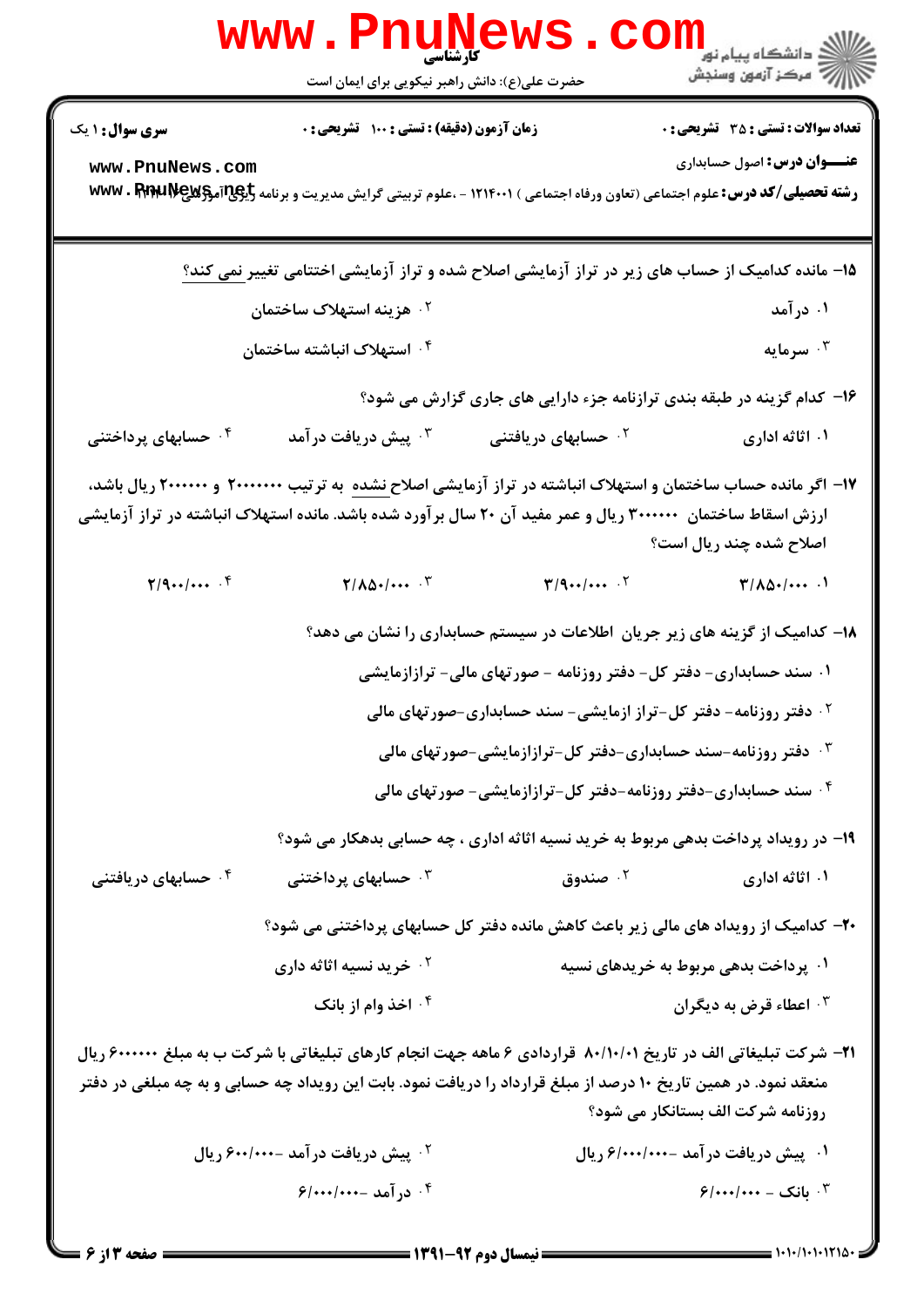|                                                                                                                                                                                                                                                                  | <b>www.PnuNews</b>                                                                                                                                                                                                                           |                                                                    |                                                                                    |  |
|------------------------------------------------------------------------------------------------------------------------------------------------------------------------------------------------------------------------------------------------------------------|----------------------------------------------------------------------------------------------------------------------------------------------------------------------------------------------------------------------------------------------|--------------------------------------------------------------------|------------------------------------------------------------------------------------|--|
|                                                                                                                                                                                                                                                                  | حضرت علی(ع): دانش راهبر نیکویی برای ایمان است                                                                                                                                                                                                |                                                                    |                                                                                    |  |
| <b>سری سوال :</b> ۱ یک<br>www.PnuNews.com                                                                                                                                                                                                                        | زمان آزمون (دقیقه) : تستی : 100 تشریحی : 0<br><b>رشته تحصیلی/کد درس:</b> علوم اجتماعی (تعاون ورفاه اجتماعی ) ۱۲۱۴۰۰۱ - ،علوم تربیتی گرایش مدیریت و برنامه <b>تایپاتاتهوکیWwv . RPARLIV</b>                                                   |                                                                    | <b>تعداد سوالات : تستی : 35 تشریحی : 0</b><br><b>عنـــوان درس:</b> اصول حسابداری   |  |
|                                                                                                                                                                                                                                                                  | ۱۵– مانده کدامیک از حساب های زیر در تراز آزمایشی اصلاح شده و تراز آزمایشی اختتامی تغییر نمی کند؟                                                                                                                                             |                                                                    |                                                                                    |  |
|                                                                                                                                                                                                                                                                  | ۰ <sup>۲</sup> هزینه استهلاک ساختمان                                                                                                                                                                                                         |                                                                    | ۰۱ در آمد                                                                          |  |
|                                                                                                                                                                                                                                                                  | ۰۴ استهلاک انباشته ساختمان                                                                                                                                                                                                                   |                                                                    | ۰۳ سرمایه                                                                          |  |
|                                                                                                                                                                                                                                                                  | ۱۶- کدام گزینه در طبقه بندی ترازنامه جزء دارایی های جاری گزارش می شود؟                                                                                                                                                                       |                                                                    |                                                                                    |  |
| ۰ <sup>۴</sup> حسابهای پرداختنی                                                                                                                                                                                                                                  | ۰ <sup>۳</sup> پیش دریافت در آمد                                                                                                                                                                                                             | ۰ <sup>۲</sup> حسابهای دریافتنی                                    | ۰۱ اثاثه اداری                                                                     |  |
| ۱۷– اگر مانده حساب ساختمان و استهلاک انباشته در تراز آزمایشی اصلاح <u>نشده</u> به ترتیب ۲۰۰۰۰۰۰۰ و ۲۰۰۰۰۰۰ ریال باشد،<br>ارزش اسقاط ساختمان ۳۰۰۰۰۰۰ ریال و عمر مفید آن ۲۰ سال بر آورد شده باشد. مانده استهلاک انباشته در تراز آزمایشی<br>اصلاح شده چند ریال است؟ |                                                                                                                                                                                                                                              |                                                                    |                                                                                    |  |
| $\mathbf{Y}/\mathbf{Q}_{\bullet\bullet}/\bullet\bullet\bullet\cdot\mathbf{f}$                                                                                                                                                                                    | $\mathbf{Y}/\mathbf{A}\mathbf{\Delta}\cdot\mathbf{I}\cdots$ $\mathbf{Y}$                                                                                                                                                                     |                                                                    | $T/\Lambda\Delta$ . $\cdots$ .                                                     |  |
|                                                                                                                                                                                                                                                                  |                                                                                                                                                                                                                                              |                                                                    | ۱۸– کدامیک از گزینه های زیر جریان اطلاعات در سیستم حسابداری را نشان می دهد؟        |  |
|                                                                                                                                                                                                                                                                  |                                                                                                                                                                                                                                              | ۰۱ سند حسابداری- دفتر کل- دفتر روزنامه - صورتهای مالی- ترازازمایشی |                                                                                    |  |
|                                                                                                                                                                                                                                                                  |                                                                                                                                                                                                                                              |                                                                    | ۰۲ دفتر روزنامه- دفتر کل-تراز ازمایشی- سند حسابداری-صورتهای مالی                   |  |
|                                                                                                                                                                                                                                                                  |                                                                                                                                                                                                                                              |                                                                    | ۰۳ دفتر روزنامه-سند حسابداری-دفتر کل-ترازازمایشی-صورتهای مالی                      |  |
|                                                                                                                                                                                                                                                                  |                                                                                                                                                                                                                                              |                                                                    | ۰۴ سند حسابداری-دفتر روزنامه-دفتر کل-ترازازمایشی- صورتهای مالی                     |  |
|                                                                                                                                                                                                                                                                  |                                                                                                                                                                                                                                              |                                                                    | ۱۹- در رویداد پرداخت بدهی مربوط به خرید نسیه آثاثه اداری ، چه حسابی بدهکار می شود؟ |  |
| ۰۴ حسابهای دریافتنی                                                                                                                                                                                                                                              | ۰ <sup>۳</sup> حسابهای پرداختنی                                                                                                                                                                                                              | ۰۲ صندوق                                                           | ۰۱ اثاثه اداری                                                                     |  |
|                                                                                                                                                                                                                                                                  |                                                                                                                                                                                                                                              |                                                                    | ۲۰– کدامیک از رویداد های مالی زیر باعث کاهش مانده دفتر کل حسابهای پرداختنی می شود؟ |  |
|                                                                                                                                                                                                                                                                  | ۰ <sup>۲</sup> خرید نسیه اثاثه داری                                                                                                                                                                                                          |                                                                    | ۰۱ پرداخت بدهی مربوط به خریدهای نسیه                                               |  |
|                                                                                                                                                                                                                                                                  | ۰۴ اخذ وام از بانک                                                                                                                                                                                                                           |                                                                    | ۰۳ اعطاء قرض به دیگران                                                             |  |
|                                                                                                                                                                                                                                                                  | <b>۲۱</b> – شرکت تبلیغاتی الف در تاریخ ۸۰/۱۰/۰۱ قراردادی ۶ ماهه جهت انجام کارهای تبلیغاتی با شرکت ب به مبلغ ۶۰۰۰۰۰۰ ریال<br>منعقد نمود. در همین تاریخ ۱۰ درصد از مبلغ قرارداد را دریافت نمود. بابت این رویداد چه حسابی و به چه مبلغی در دفتر |                                                                    | روزنامه شرکت الف بستانکار می شود؟                                                  |  |
|                                                                                                                                                                                                                                                                  | <sup>۲ .</sup> پیش دریافت در آمد - <i>۶۰۰/۰۰۰ ر</i> یال                                                                                                                                                                                      |                                                                    | ۰۱ پیش دریافت در آمد -۶/۰۰۰/۰۰۰ ریال                                               |  |
|                                                                                                                                                                                                                                                                  | ۰۴ درآمد -۰۰۰/۰۰۰/۶                                                                                                                                                                                                                          |                                                                    | $9$ ۰۲ بانک - ۰۰۰/۰۰۰/۶                                                            |  |

 $= 1.1 - 11.11114$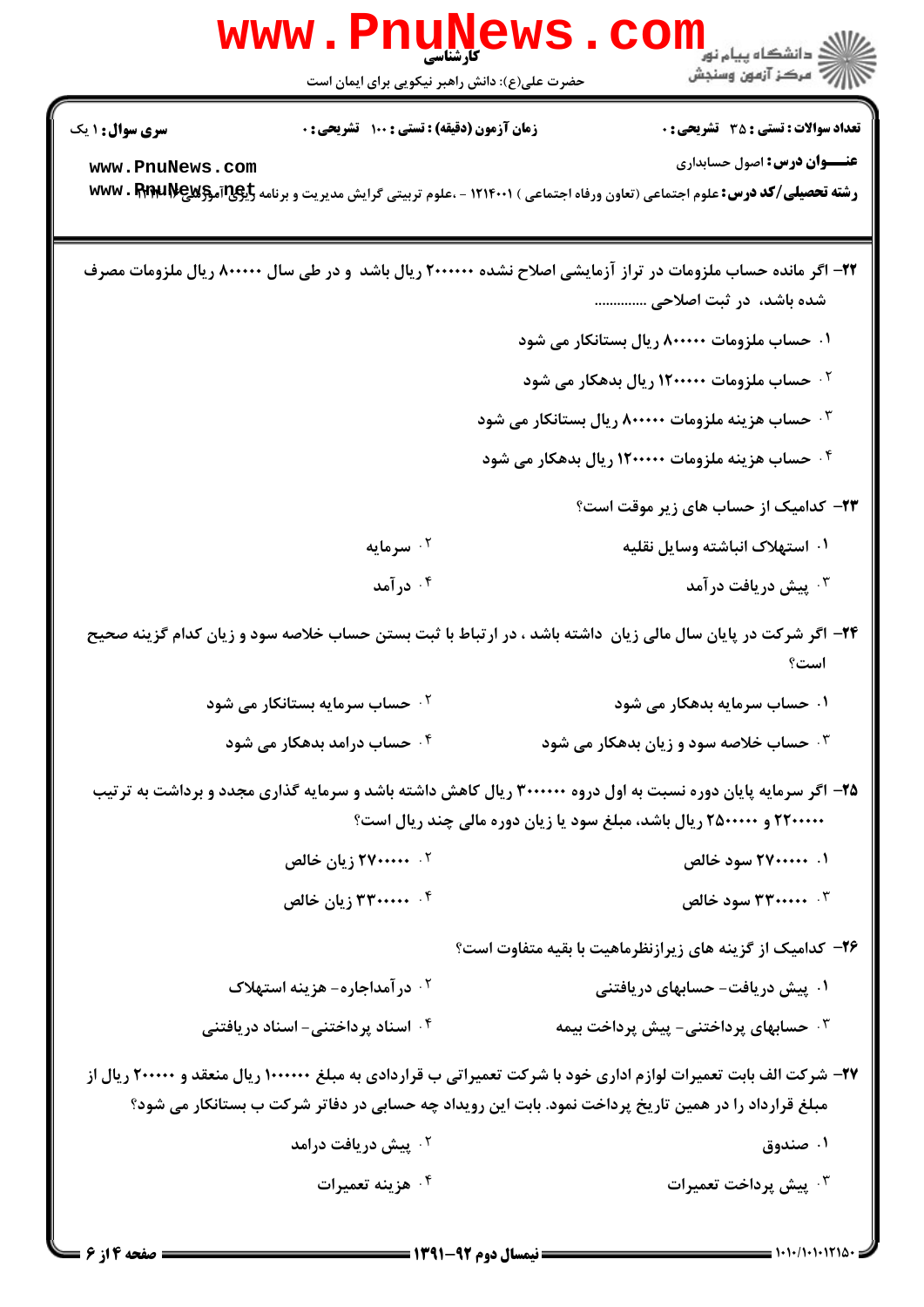|                        | www.PnuNews.<br>` کارشناس <i>ی</i><br>حضرت علی(ع): دانش راهبر نیکویی برای ایمان است | الا دانشگاه پیام نور<br>اگر دانشگاه پیام نور<br>اگر مرکز آزمون وسنجش                                                                                                                                                      |
|------------------------|-------------------------------------------------------------------------------------|---------------------------------------------------------------------------------------------------------------------------------------------------------------------------------------------------------------------------|
| <b>سری سوال : ۱ یک</b> | زمان آزمون (دقیقه) : تستی : ۱۰۰ تشریحی : ۰                                          | <b>تعداد سوالات : تستی : 35 ٪ تشریحی : 0</b>                                                                                                                                                                              |
| www.PnuNews.com        |                                                                                     | <b>عنـــوان درس:</b> اصول حسابداري<br><b>رشته تحصیلی/کد درس:</b> علوم اجتماعی (تعاون ورفاه اجتماعی ) ۱۲۱۴۰۰۱ - ،علوم تربیتی گرایش مدیریت و برنامه <b>WWW . FRIRLIVE و WWW</b>                                             |
|                        |                                                                                     | ۲۲– اگر مانده حساب ملزومات در تراز آزمایشی اصلاح نشده ۲۰۰۰۰۰۰ ریال باشد و در طی سال ۸۰۰۰۰۰ ریال ملزومات مصرف<br>شده باشد، ًدر ثبت اصلاحی                                                                                  |
|                        |                                                                                     | ۰۱ حساب ملزومات ۸۰۰۰۰۰ ریال بستانکار می شود                                                                                                                                                                               |
|                        |                                                                                     | ۰۲ حساب ملزومات ۱۲۰۰۰۰۰ ریال بدهکار می شود                                                                                                                                                                                |
|                        |                                                                                     | ۰۳ حساب هزینه ملزومات ۸۰۰۰۰۰ ریال بستانکار می شود                                                                                                                                                                         |
|                        |                                                                                     | ۰۴ حساب هزینه ملزومات ۱۲۰۰۰۰۰ ریال بدهکار می شود                                                                                                                                                                          |
|                        |                                                                                     | ۲۳- کدامیک از حساب های زیر موقت است؟                                                                                                                                                                                      |
|                        | ۰ <sup>۲</sup> سرمایه                                                               | ۰۱ استهلاک انباشته وسایل نقلیه                                                                                                                                                                                            |
|                        | ۰۴ در آمد                                                                           | ۰۳ پیش دریافت در آمد                                                                                                                                                                                                      |
|                        |                                                                                     | ۲۴- اگر شرکت در پایان سال مالی زیان  داشته باشد ، در ارتباط با ثبت بستن حساب خلاصه سود و زیان کدام گزینه صحیح<br>است؟                                                                                                     |
|                        | <b>گ حساب سرمایه بستانکار می شود</b>                                                | ۰۱ حساب سرمایه بدهکار می شود                                                                                                                                                                                              |
|                        | ۰۴ حساب درامد بدهکار می شود                                                         | ۰۳ حساب خلاصه سود و زیان بدهکار می شود                                                                                                                                                                                    |
|                        |                                                                                     | ۲۵- اگر سرمایه پایان دوره نسبت به اول دروه ۳۰۰۰۰۰۰ ریال کاهش داشته باشد و سرمایه گذاری مجدد و برداشت به ترتیب<br>۲۲۰۰۰۰۰ و ۲۵۰۰۰۰۰ ریال باشد، مبلغ سود یا زیان دوره مالی چند ریال است؟                                    |
|                        | ۲. <b>۲۷۰۰۰۰۰ زیان خالص</b>                                                         | ۰۱ ۲۷۰۰۰۰۰۰ سود خالص                                                                                                                                                                                                      |
|                        | ۰۴ ۳۳۰۰۰۰۰۰ زیان خالص                                                               | ۰۳ - ۳۳۰۰۰۰۰ سود خالص                                                                                                                                                                                                     |
|                        |                                                                                     | ۲۶- کدامیک از گزینه های زیرازنظرماهیت با بقیه متفاوت است؟                                                                                                                                                                 |
|                        | <sup>۲</sup> ۰ در آمداجاره- هزینه استهلاک                                           | ۰۱ پیش دریافت- حسابهای دریافتنی                                                                                                                                                                                           |
|                        | ۰۴ اسناد پرداختنی- اسناد دریافتنی                                                   | ۰۳ حسابهای پرداختنی- پیش پرداخت بیمه                                                                                                                                                                                      |
|                        |                                                                                     | ۲۷– شرکت الف بابت تعمیرات لوازم اداری خود با شرکت تعمیراتی ب قراردادی به مبلغ ۱۰۰۰۰۰۰ ریال منعقد و ۲۰۰۰۰۰ ریال از<br>مبلغ قرارداد را در همین تاریخ پرداخت نمود. بابت این رویداد چه حسابی در دفاتر شرکت ب بستانکار می شود؟ |
|                        | <sup>۲ .</sup> پیش دریافت درامد                                                     | ۰۱ صندوق                                                                                                                                                                                                                  |
|                        | ۰۴ هزینه تعمیرات                                                                    | ۰۳ پیش پرداخت تعمیرات                                                                                                                                                                                                     |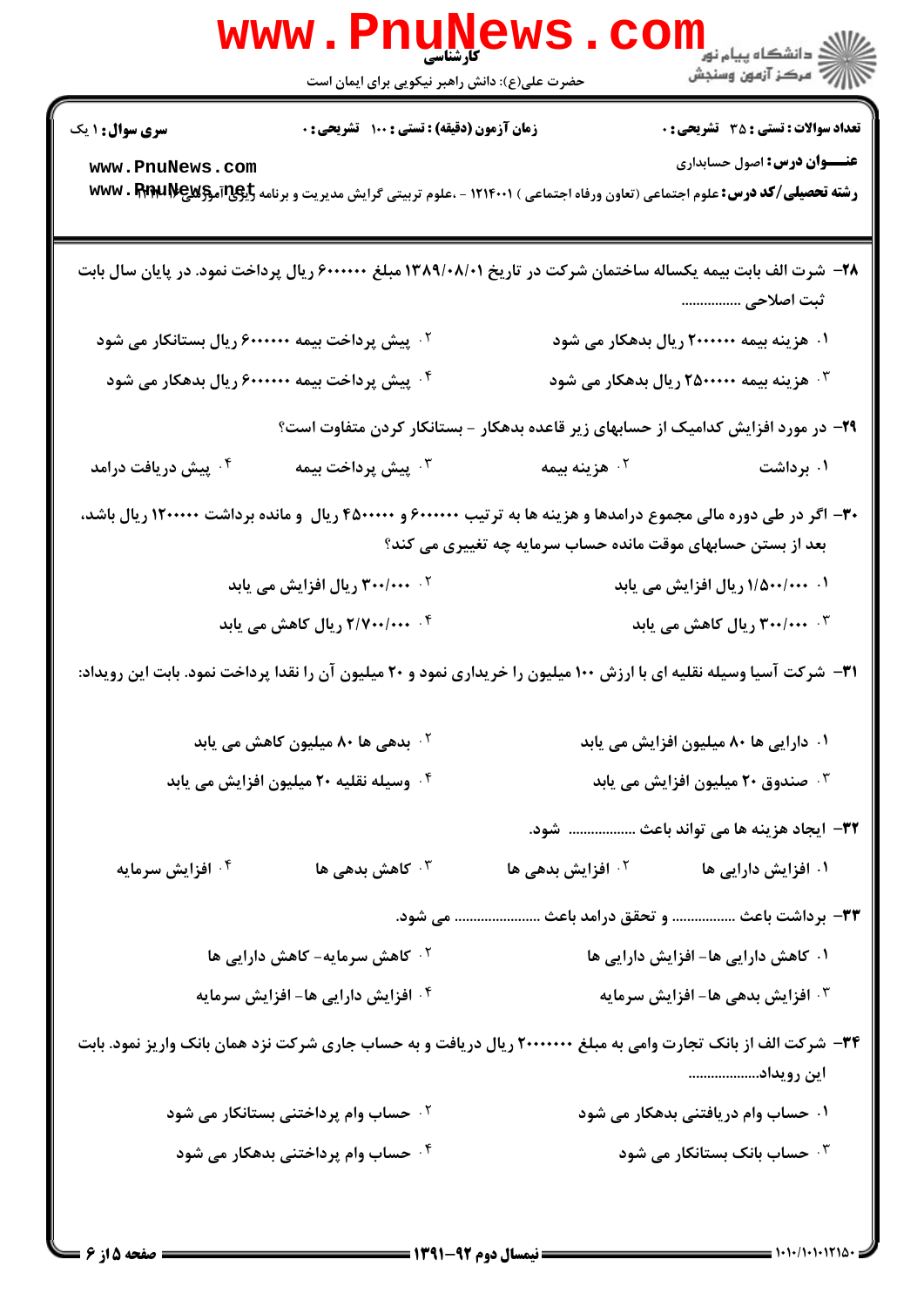|                                                | www.PnuNews.                                                                                                                          |                                                                                   | الاد دانشگاه پيام نور<br>الاد مرکز آزمون وسنجش                                   |
|------------------------------------------------|---------------------------------------------------------------------------------------------------------------------------------------|-----------------------------------------------------------------------------------|----------------------------------------------------------------------------------|
|                                                | حضرت علی(ع): دانش راهبر نیکویی برای ایمان است                                                                                         |                                                                                   |                                                                                  |
| <b>سری سوال : ۱ یک</b>                         | زمان آزمون (دقیقه) : تستی : ۱۰۰ آتشریحی : ۰                                                                                           |                                                                                   | <b>تعداد سوالات : تستي : 30 تشريحي : 0</b><br><b>عنـــوان درس:</b> اصول حسابداری |
| www.PnuNews.com                                | <b>رشته تحصیلی/کد درس:</b> علوم اجتماعی (تعاون ورفاه اجتماعی ) ۱۲۱۴۰۰۱ - ،علوم تربیتی گرایش مدیریت و برنامه <b>WWW . FERELIVE کلا</b> |                                                                                   |                                                                                  |
|                                                | ۲۸– شرت الف بابت بیمه یکساله ساختمان شرکت در تاریخ ۱۳۸۹/۰۸/۰۱ مبلغ ۶۰۰۰۰۰۰ ریال پرداخت نمود. در پایان سال بابت                        |                                                                                   | ثبت اصلاحی                                                                       |
|                                                | <sup>۲</sup> ۰ پیش پرداخت بیمه ۶۰۰۰۰۰۰۰ ریال بستانکار می شود                                                                          |                                                                                   | ۰۱ هزینه بیمه ۲۰۰۰۰۰۰ ریال بدهکار می شود                                         |
|                                                | ۰۴ پیش پرداخت بیمه ۶۰۰۰۰۰۰۰ ریال بدهکار می شود                                                                                        |                                                                                   | هزینه بیمه ۲۵۰۰۰۰۰ ریال بدهکار می شود $\cdot$                                    |
|                                                |                                                                                                                                       | ۲۹- در مورد افزایش کدامیک از حسابهای زیر قاعده بدهکار - بستانکار کردن متفاوت است؟ |                                                                                  |
| ۰ <sup>۴</sup> پیش دریافت درامد                | يش پرداخت بيمه $\cdot^{\mathsf{y}}$                                                                                                   | ۰ <sup>۲</sup> هزینه بیمه                                                         | ۰۱ برداشت                                                                        |
|                                                | ۳۰– اگر در طی دوره مالی مجموع درامدها و هزینه ها به ترتیب ۶۰۰۰۰۰۰ و ۴۵۰۰۰۰۰ ریال و مانده برداشت ۱۲۰۰۰۰۰ ریال باشد،                    | بعد از بستن حسابهای موقت مانده حساب سرمایه چه تغییری می کند؟                      |                                                                                  |
|                                                | <b>۲ <i>۳۰۰/۰۰۰</i> ریال افزایش می یابد</b>                                                                                           | ۰۱ ۱/۵۰۰/۰۰۰ ریال افزایش می یابد                                                  |                                                                                  |
|                                                | ۰۴ <i>۲/۷۰۰/۰۰۰ ر</i> یال کاهش می یابد                                                                                                | ۰۳ - ۳۰۰/۰۰۰ ریال کاهش می یابد                                                    |                                                                                  |
|                                                | ۳۱– شرکت آسیا وسیله نقلیه ای با ارزش ۱۰۰ میلیون را خریداری نمود و ۲۰ میلیون آن را نقدا پرداخت نمود. بابت این رویداد:                  |                                                                                   |                                                                                  |
|                                                | <sup>۲ .</sup> بدهی ها ۸۰ میلیون کاهش می یابد                                                                                         |                                                                                   | ۰۱ دارایی ها ۸۰ میلیون افزایش می یابد                                            |
| ۰۴ وسیله نقلیه ۲۰ میلیون افزایش می یابد        |                                                                                                                                       | ۰ <sup>۳</sup> صندوق ۲۰ میلیون افزایش می یابد                                     |                                                                                  |
|                                                |                                                                                                                                       |                                                                                   | ٣٢- ايجاد هزينه ها مي تواند باعث  شود.                                           |
| ۰۴ افزایش سرمایه                               | کاهش بدهی ها $\cdot^{\mathsf{y}}$                                                                                                     | ۰ <sup>۲</sup> افزایش بدهی ها                                                     | ۰۱ افزایش دارایی ها                                                              |
|                                                |                                                                                                                                       | می شود.                                                                           | ٣٣- برداشت باعث  و تحقق درامد باعث                                               |
|                                                | ۰ <sup>۲</sup> کاهش سرمایه- کاهش دارایی ها                                                                                            |                                                                                   | ۰۱ کاهش دارایی ها- افزایش دارایی ها                                              |
| ۰ <sup>۴</sup> افزایش دارایی ها- افزایش سرمایه |                                                                                                                                       | ۰ <sup>۳</sup> افزایش بدهی ها- افزایش سرمایه                                      |                                                                                  |
|                                                | 34- شرکت الف از بانک تجارت وامی به مبلغ ۲۰۰۰۰۰۰۰ ریال دریافت و به حساب جاری شرکت نزد همان بانک واریز نمود. بابت                       |                                                                                   | این رویداد                                                                       |
|                                                | <b>گ حساب وام پرداختنی بستانکار می شود</b>                                                                                            |                                                                                   | ۰۱ حساب وام دریافتنی بدهکار می شود                                               |
|                                                | ۰۴ حساب وام پرداختنی بدهکار می شود                                                                                                    |                                                                                   | ۰ <sup>۳</sup> حساب بانک بستانکار می شود $\cdot$                                 |
|                                                |                                                                                                                                       |                                                                                   |                                                                                  |